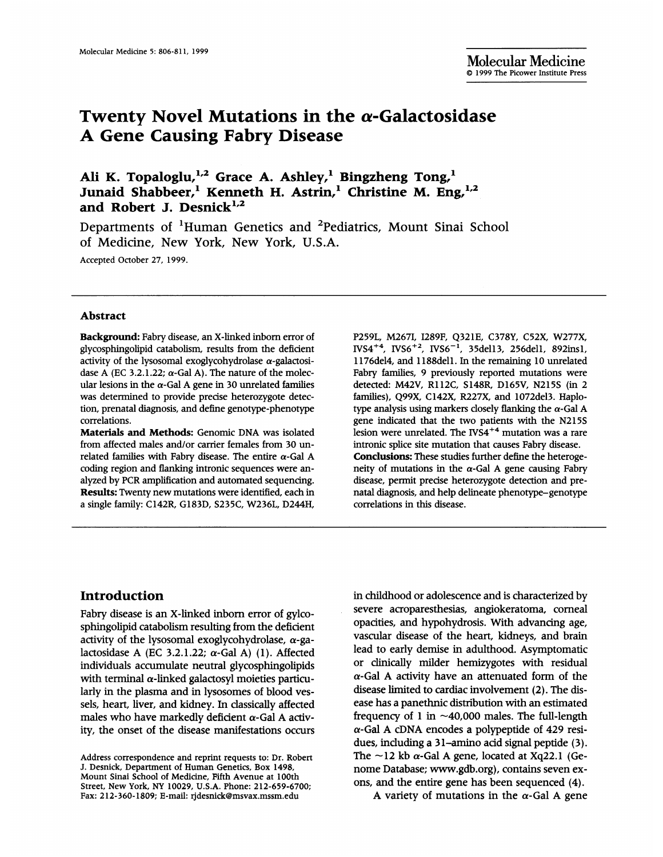# Twenty Novel Mutations in the  $\alpha$ -Galactosidase A Gene Causing Fabry Disease

Ali K. Topaloglu,<sup>1,2</sup> Grace A. Ashley,<sup>1</sup> Bingzheng Tong,<sup>1</sup> Junaid Shabbeer,<sup>1</sup> Kenneth H. Astrin,<sup>1</sup> Christine M. Eng,<sup>1,2</sup> and Robert J. Desnick $^{1,2}$ 

Departments of 'Human Genetics and 2Pediatrics, Mount Sinai School of Medicine, New York, New York, U.S.A. Accepted October 27, 1999.

#### Abstract

Background: Fabry disease, an X-linked inborn error of glycosphingolipid catabolism, results from the deficient activity of the lysosomal exoglycohydrolase  $\alpha$ -galactosidase A (EC 3.2.1.22;  $\alpha$ -Gal A). The nature of the molecular lesions in the  $\alpha$ -Gal A gene in 30 unrelated families was determined to provide precise heterozygote detection, prenatal diagnosis, and define genotype-phenotype correlations.

Materials and Methods: Genomic DNA was isolated from affected males and/or carrier females from 30 unrelated families with Fabry disease. The entire  $\alpha$ -Gal A coding region and flanking intronic sequences were analyzed by PCR amplification and automated sequencing. Results: Twenty new mutations were identified, each in a single family: C142R, G183D, S235C, W236L, D244H, P259L, M267L, I289F, Q321E, C378Y, C52X, W277X,  $IVS4^{+4}$ ,  $IVS6^{+2}$ ,  $IVS6^{-1}$ , 35del13, 256del1, 892insl, 1176del4, and 1188dell. In the remaining 10 unrelated Fabry families, 9 previously reported mutations were detected: M42V, R112C, S148R, D165V, N215S (in 2 families), Q99X, C142X, R227X, and 1072del3. Haplotype analysis using markers closely flanking the  $\alpha$ -Gal A gene indicated that the two patients with the N215S lesion were unrelated. The IVS4<sup>+4</sup> mutation was a rare intronic splice site mutation that causes Fabry disease. Conclusions: These studies further define the heterogeneity of mutations in the  $\alpha$ -Gal A gene causing Fabry disease, permit precise heterozygote detection and prenatal diagnosis, and help delineate phenotype-genotype correlations in this disease.

# Introduction

Fabry disease is an X-linked inborn error of gylcosphingolipid catabolism resulting from the deficient activity of the lysosomal exoglycohydrolase,  $\alpha$ -galactosidase A (EC 3.2.1.22;  $\alpha$ -Gal A) (1). Affected individuals accumulate neutral glycosphingolipids with terminal  $\alpha$ -linked galactosyl moieties particularly in the plasma and in lysosomes of blood vessels, heart, liver, and kidney. In dassically affected males who have markedly deficient  $\alpha$ -Gal A activity, the onset of the disease manifestations occurs in childhood or adolescence and is characterized by severe acroparesthesias, angiokeratoma, corneal opacities, and hypohydrosis. With advancing age, vascular disease of the heart, kidneys, and brain lead to early demise in adulthood. Asymptomatic or clinically milder hemizygotes with residual  $\alpha$ -Gal A activity have an attenuated form of the disease limited to cardiac involvement (2). The disease has a panethnic distribution with an estimated frequency of 1 in  $\sim$ 40,000 males. The full-length  $\alpha$ -Gal A cDNA encodes a polypeptide of 429 residues, including a 31-amino acid signal peptide (3). The  $\sim$ 12 kb  $\alpha$ -Gal A gene, located at Xq22.1 (Genome Database; www.gdb.org), contains seven exons, and the entire gene has been sequenced (4).

A variety of mutations in the  $\alpha$ -Gal A gene

Address correspondence and reprint requests to: Dr. Robert J. Desnick, Department of Human Genetics, Box 1498, Mount Sinai School of Medicine, Fifth Avenue at 100th Street, New York, NY 10029, U.S.A. Phone: 212-659-6700; Fax: 212-360-1809; E-mail: rjdesnick@msvax.mssm.edu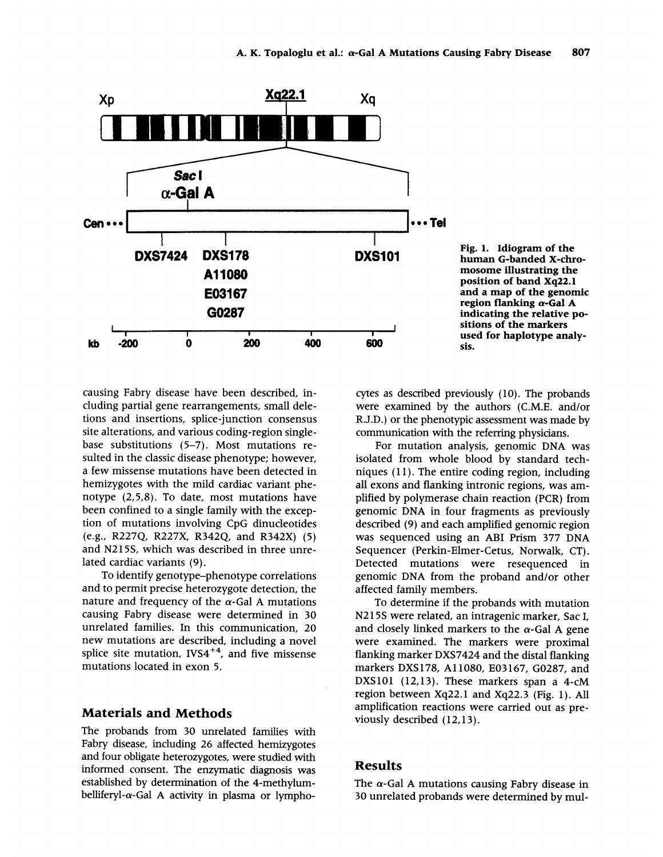

Fig. 1. Idiogram of the human G-banded X-chromosome illustrating the position of band Xq22.1 and a map of the genomic region flanking  $\alpha$ -Gal A indicating the relative positions of the markers used for haplotype analysis.

causing Fabry disease have been described, including partial gene rearrangements, small deletions and insertions, splice-junction consensus site alterations, and various coding-region singlebase substitutions (5-7). Most mutations resulted in the classic disease phenotype; however, a few missense mutations have been detected in hemizygotes with the mild cardiac variant phenotype (2,5,8). To date, most mutations have been confined to a single family with the exception of mutations involving CpG dinucleotides (e.g., R227Q, R227X, R342Q, and R342X) (5) and N215S, which was described in three unrelated cardiac variants (9).

To identify genotype-phenotype correlations and to permit precise heterozygote detection, the nature and frequency of the  $\alpha$ -Gal A mutations causing Fabry disease were determined in 30 unrelated families. In this communication, 20 new mutations are described, including <sup>a</sup> novel splice site mutation,  $IVS4^{+4}$ , and five missense mutations located in exon 5.

## Materials and Methods

The probands from 30 unrelated families with Fabry disease, including 26 affected hemizygotes and four obligate heterozygotes, were studied with informed consent. The enzymatic diagnosis was established by determination of the 4-methylumbelliferyl- $\alpha$ -Gal A activity in plasma or lymphocytes as described previously (10). The probands were examined by the authors (C.M.E. and/or R.J.D.) or the phenotypic assessment was made by communication with the referring physicians.

For mutation analysis, genomic DNA was isolated from whole blood by standard techniques (11). The entire coding region, including all exons and flanking intronic regions, was amplified by polymerase chain reaction (PCR) from genomic DNA in four fragments as previously described (9) and each amplified genomic region was sequenced using an ABI Prism 377 DNA Sequencer (Perkin-Elmer-Cetus, Norwalk, CT). Detected mutations were resequenced in genomic DNA from the proband and/or other affected family members.

To determine if the probands with mutation N215S were related, an intragenic marker, Sac I, and closely linked markers to the  $\alpha$ -Gal A gene were examined. The markers were proximal flanking marker DXS7424 and the distal flanking markers DXS178, Al 1080, E03167, G0287, and DXS101 (12,13). These markers span a 4-cM region between Xq22.1 and Xq22.3 (Fig. 1). All amplification reactions were carried out as previously described (12,13).

#### Results

The  $\alpha$ -Gal A mutations causing Fabry disease in 30 unrelated probands were determined by mul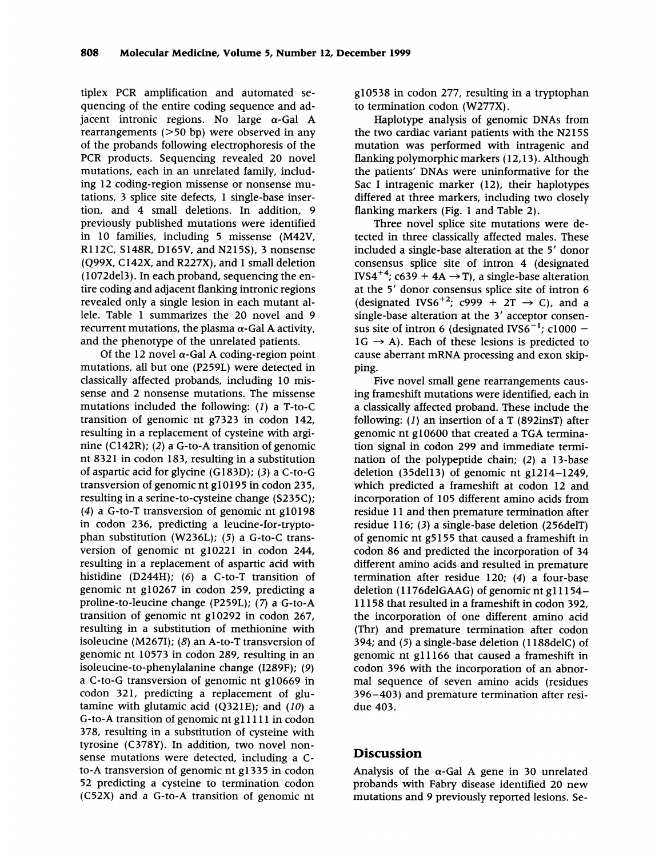tiplex PCR amplification and automated sequencing of the entire coding sequence and adjacent intronic regions. No large  $\alpha$ -Gal A rearrangements (>50 bp) were observed in any of the probands following electrophoresis of the PCR products. Sequencing revealed 20 novel mutations, each in an unrelated family, including 12 coding-region missense or nonsense mutations, 3 splice site defects, 1 single-base insertion, and 4 small deletions. In addition, 9 previously published mutations were identified in 10 families, including <sup>5</sup> missense (M42V, R112C, S148R, D165V, and N215S), 3 nonsense (Q99X, C142X, and R227X), and <sup>1</sup> small deletion (1072del3). In each proband, sequencing the entire coding and adjacent flanking intronic regions revealed only a single lesion in each mutant allele. Table <sup>1</sup> summarizes the 20 novel and 9 recurrent mutations, the plasma  $\alpha$ -Gal A activity, and the phenotype of the unrelated patients.

Of the 12 novel  $\alpha$ -Gal A coding-region point mutations, all but one (P259L) were detected in classically affected probands, including 10 missense and 2 nonsense mutations. The missense mutations included the following: (1) a T-to-C transition of genomic nt g7323 in codon 142, resulting in a replacement of cysteine with arginine (C142R); (2) a G-to-A transition of genomic nt 8321 in codon 183, resulting in a substitution of aspartic acid for glycine (G183D); (3) a C-to-G transversion of genomic nt glO195 in codon 235, resulting in a serine-to-cysteine change (S235C); (4) a G-to-T transversion of genomic nt glO198 in codon 236, predicting a leucine-for-tryptophan substitution (W236L); (5) a G-to-C transversion of genomic nt g1O221 in codon 244, resulting in a replacement of aspartic acid with histidine (D244H); (6) a C-to-T transition of genomic nt g10267 in codon 259, predicting a proline-to-leucine change (P259L); (7) a G-to-A transition of genomic nt g10292 in codon 267, resulting in a substitution of methionine with isoleucine (M267I); (8) an A-to-T transversion of genomic nt 10573 in codon 289, resulting in an isoleucine-to-phenylalanine change (I289F); (9) a C-to-G transversion of genomic nt g10669 in codon 321, predicting a replacement of glutamine with glutamic acid (Q321E); and  $(10)$  a G-to-A transition of genomic nt gIl 111 in codon 378, resulting in a substitution of cysteine with tyrosine (C378Y). In addition, two novel nonsense mutations were detected, including a Cto-A transversion of genomic nt gi335 in codon 52 predicting a cysteine to termination codon (C52X) and a G-to-A transition of genomic nt

g1O538 in codon 277, resulting in a tryptophan to termination codon (W277X).

Haplotype analysis of genomic DNAs from the two cardiac variant patients with the N215S mutation was performed with intragenic and flanking polymorphic markers (12,13). Although the patients' DNAs were uninformative for the Sac <sup>I</sup> intragenic marker (12), their haplotypes differed at three markers, including two closely flanking markers (Fig. <sup>1</sup> and Table 2).

Three novel splice site mutations were detected in three classically affected males. These included a single-base alteration at the <sup>5</sup>' donor consensus splice site of intron 4 (designated IVS4<sup>+4</sup>; c639 + 4A  $\rightarrow$  T), a single-base alteration at the <sup>5</sup>' donor consensus splice site of intron 6 (designated IVS6<sup>+2</sup>; c999 + 2T  $\rightarrow$  C), and a single-base alteration at the <sup>3</sup>' acceptor consensus site of intron 6 (designated IVS6<sup>-1</sup>; c1000 - $1G \rightarrow A$ ). Each of these lesions is predicted to cause aberrant mRNA processing and exon skipping.

Five novel small gene rearrangements causing frameshift mutations were identified, each in a classically affected proband. These include the following: (1) an insertion of a T (892insT) after genomic nt g10600 that created <sup>a</sup> TGA termination signal in codon 299 and immediate termination of the polypeptide chain; (2) a 13-base deletion (35dell3) of genomic nt g1214-1249, which predicted a frameshift at codon 12 and incorporation of 105 different amino acids from residue 11 and then premature termination after residue 116; (3) a single-base deletion (256delT) of genomic nt g5155 that caused a frameshift in codon 86 and predicted the incorporation of 34 different amino acids and resulted in premature termination after residue 120; (4) a four-base deletion (1176delGAAG) of genomic nt g11154– 11158 that resulted in a frameshift in codon 392, the incorporation of one different amino acid (Thr) and premature termination after codon 394; and (5) a single-base deletion (1188delC) of genomic nt gill 66 that caused a frameshift in codon 396 with the incorporation of an abnormal sequence of seven amino acids (residues 396-403) and premature termination after residue 403.

#### Discussion

Analysis of the  $\alpha$ -Gal A gene in 30 unrelated probands with Fabry disease identified 20 new mutations and 9 previously reported lesions. Se-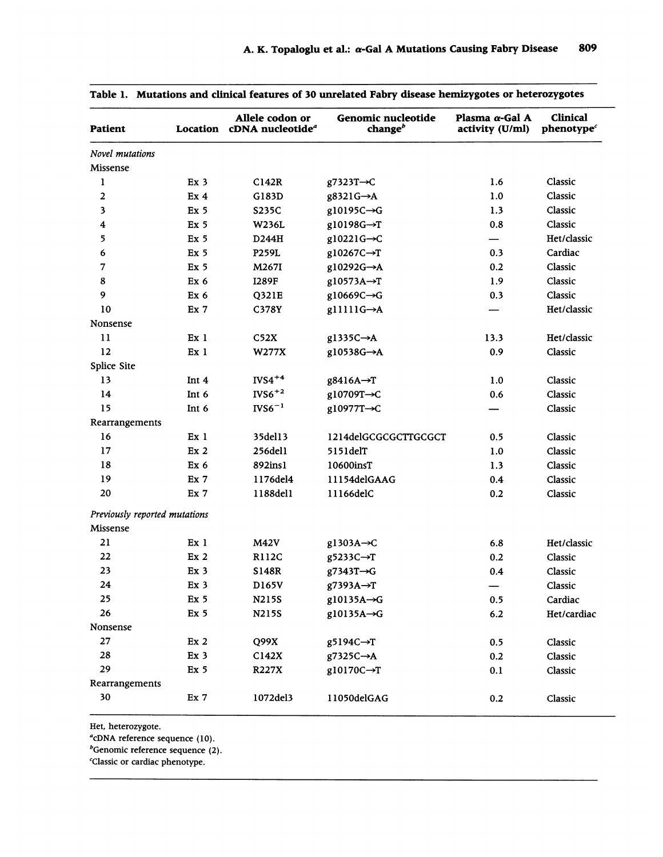| <b>Patient</b>                |                 | Allele codon or<br>Location cDNA nucleotide <sup>a</sup> | Genomic nucleotide<br>change $^b$ | Plasma $\alpha$ -Gal A<br>activity (U/ml) | <b>Clinical</b><br>phenotype <sup>c</sup> |
|-------------------------------|-----------------|----------------------------------------------------------|-----------------------------------|-------------------------------------------|-------------------------------------------|
| Novel mutations               |                 |                                                          |                                   |                                           |                                           |
| Missense                      |                 |                                                          |                                   |                                           |                                           |
| ı                             | Ex <sub>3</sub> | C142R                                                    | g7323T→C                          | 1.6                                       | Classic                                   |
| $\mathbf{2}$                  | Ex <sub>4</sub> | G183D                                                    | g8321G→A                          | 1.0                                       | Classic                                   |
| 3                             | Ex <sub>5</sub> | S235C                                                    | g10195C->G                        | 1.3                                       | Classic                                   |
| 4                             | Ex <sub>5</sub> | W236L                                                    | g10198G->T                        | 0.8                                       | Classic                                   |
| 5                             | Ex <sub>5</sub> | D244H                                                    | $g10221G \rightarrow C$           |                                           | Het/classic                               |
| 6                             | Ex <sub>5</sub> | P259L                                                    | g10267C→T                         | 0.3                                       | Cardiac                                   |
| 7                             | Ex <sub>5</sub> | M267I                                                    | g10292G->A                        | 0.2                                       | Classic                                   |
| 8                             | Ex <sub>6</sub> | <b>I289F</b>                                             | g10573A→T                         | 1.9                                       | Classic                                   |
| 9                             | Ex <sub>6</sub> | Q321E                                                    | g10669C->G                        | 0.3                                       | Classic                                   |
| 10                            | Ex 7            | C378Y                                                    | $g11111G \rightarrow A$           |                                           | Het/classic                               |
| Nonsense                      |                 |                                                          |                                   |                                           |                                           |
| 11                            | Ex <sub>1</sub> | C52X                                                     | $g1335C \rightarrow A$            | 13.3                                      | Het/classic                               |
| 12                            | Ex 1            | W277X                                                    | g10538G->A                        | 0.9                                       | Classic                                   |
| Splice Site                   |                 |                                                          |                                   |                                           |                                           |
| 13                            | Int 4           | $IVS4^{+4}$                                              | g8416A→T                          | 1.0                                       | Classic                                   |
| 14                            | Int 6           | $IVS6+2$                                                 | g10709T->C                        | 0.6                                       | Classic                                   |
| 15                            | Int 6           | $IVS6^{-1}$                                              | g10977T→C                         |                                           | Classic                                   |
| Rearrangements                |                 |                                                          |                                   |                                           |                                           |
| 16                            | Ex <sub>1</sub> | 35del13                                                  | 1214delGCGCGCTTGCGCT              | 0.5                                       | Classic                                   |
| 17                            | Ex <sub>2</sub> | 256del1                                                  | 5151delT                          | 1.0                                       | Classic                                   |
| 18                            | Ex 6            | 892ins1                                                  | 10600insT                         | 1.3                                       | Classic                                   |
| 19                            | Ex <sub>7</sub> | 1176del4                                                 | 11154delGAAG                      | 0.4                                       | Classic                                   |
| 20                            | Ex <sub>7</sub> | 1188del1                                                 | 11166delC                         | 0.2                                       | Classic                                   |
| Previously reported mutations |                 |                                                          |                                   |                                           |                                           |
| Missense                      |                 |                                                          |                                   |                                           |                                           |
| 21                            | Ex 1            | <b>M42V</b>                                              | $g1303A \rightarrow C$            | 6.8                                       | Het/classic                               |
| 22                            | Ex <sub>2</sub> | <b>R112C</b>                                             | g5233C→T                          | 0.2                                       | Classic                                   |
| 23                            | Ex <sub>3</sub> | S148R                                                    | g7343T->G                         | 0.4                                       | Classic                                   |
| 24                            | Ex 3            | D165V                                                    | g7393A→T                          |                                           | Classic                                   |
| 25                            | Ex <sub>5</sub> | N215S                                                    | $g10135A \rightarrow G$           | 0.5                                       | Cardiac                                   |
| 26                            | Ex <sub>5</sub> | <b>N215S</b>                                             | g10135A->G                        | 6.2                                       | Het/cardiac                               |
| Nonsense                      |                 |                                                          |                                   |                                           |                                           |
| 27                            | Ex <sub>2</sub> | Q99X                                                     | g5194C→T                          | 0.5                                       | Classic                                   |
| 28                            | Ex <sub>3</sub> | C142X                                                    | g7325C→A                          | 0.2                                       | Classic                                   |
| 29                            | Ex <sub>5</sub> | <b>R227X</b>                                             | $g10170C \rightarrow T$           | 0.1                                       | Classic                                   |
| Rearrangements                |                 |                                                          |                                   |                                           |                                           |
| 30                            | Ex 7            | 1072del3                                                 | 11050delGAG                       | 0.2                                       | Classic                                   |
|                               |                 |                                                          |                                   |                                           |                                           |

Table 1. Mutations and clinical features of 30 unrelated Fabry disease hemizygotes or heterozygotes

Het, heterozygote.

<sup>a</sup>cDNA reference sequence (10).

 $b$ Genomic reference sequence (2).

'Classic or cardiac phenotype.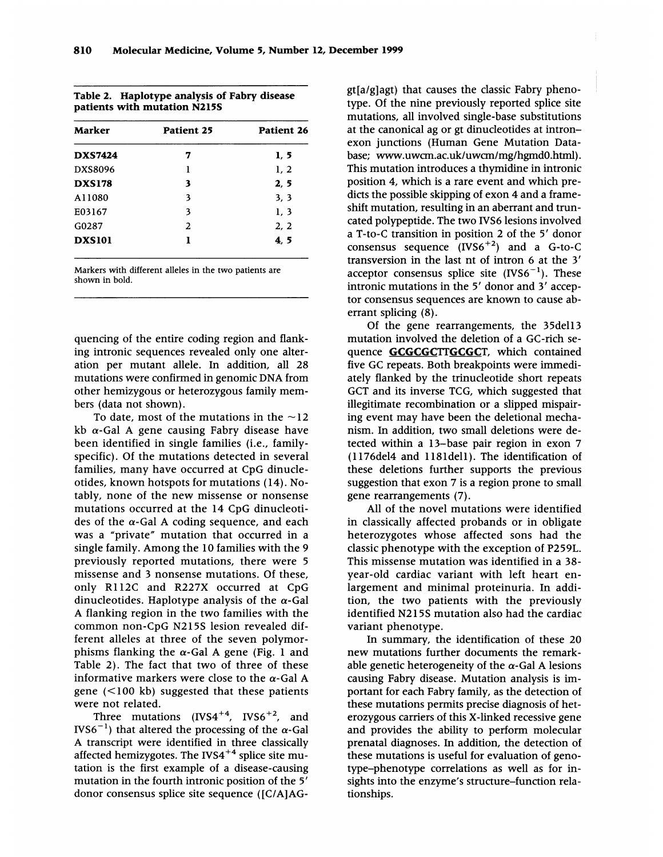| Table 2. Haplotype analysis of Fabry disease |
|----------------------------------------------|
| patients with mutation N215S                 |

| <b>Marker</b>  | Patient 25 | Patient 26 |  |
|----------------|------------|------------|--|
| <b>DXS7424</b> | 7          | 1, 5       |  |
| DXS8096        | l          | 1, 2       |  |
| <b>DXS178</b>  | 3          | 2, 5       |  |
| A11080         | 3          | 3, 3       |  |
| E03167         | 3          | 1, 3       |  |
| G0287          | 2          | 2, 2       |  |
| <b>DXS101</b>  |            | 4, 5       |  |

Markers with different alleles in the two patients are shown in bold.

quencing of the entire coding region and flanking intronic sequences revealed only one alteration per mutant allele. In addition, all 28 mutations were confirmed in genomic DNA from other hemizygous or heterozygous family members (data not shown).

To date, most of the mutations in the  $\sim$ 12 kb  $\alpha$ -Gal A gene causing Fabry disease have been identified in single families (i.e., familyspecific). Of the mutations detected in several families, many have occurred at CpG dinucleotides, known hotspots for mutations (14). Notably, none of the new missense or nonsense mutations occurred at the 14 CpG dinucleotides of the  $\alpha$ -Gal A coding sequence, and each was a "private" mutation that occurred in a single family. Among the 10 families with the <sup>9</sup> previously reported mutations, there were 5 missense and 3 nonsense mutations. Of these, only R1 12C and R227X occurred at CpG dinucleotides. Haplotype analysis of the  $\alpha$ -Gal A flanking region in the two families with the common non-CpG N215S lesion revealed different alleles at three of the seven polymorphisms flanking the  $\alpha$ -Gal A gene (Fig. 1 and Table 2). The fact that two of three of these informative markers were close to the  $\alpha$ -Gal A gene (<100 kb) suggested that these patients were not related.

Three mutations  $(IVS4^{+4}, IVS6^{+2}, and$ IVS6<sup>-1</sup>) that altered the processing of the  $\alpha$ -Gal A transcript were identified in three classically affected hemizygotes. The IVS4<sup>+4</sup> splice site mutation is the first example of a disease-causing mutation in the fourth intronic position of the <sup>5</sup>' donor consensus splice site sequence ([C/A]AG- gt[a/g]agt) that causes the classic Fabry phenotype. Of the nine previously reported splice site mutations, all involved single-base substitutions at the canonical ag or gt dinucleotides at intronexon junctions (Human Gene Mutation Database; www.uwcm.ac.uk/uwcm/mg/hgmdO.html). This mutation introduces a thymidine in intronic position 4, which is a rare event and which predicts the possible skipping of exon 4 and a frameshift mutation, resulting in an aberrant and truncated polypeptide. The two IVS6 lesions involved a T-to-C transition in position 2 of the <sup>5</sup>' donor consensus sequence  $(IVS6^{+2})$  and a G-to-C transversion in the last nt of intron 6 at the 3' acceptor consensus splice site  $(IVS6^{-1})$ . These intronic mutations in the <sup>5</sup>' donor and <sup>3</sup>' acceptor consensus sequences are known to cause aberrant splicing (8).

Of the gene rearrangements, the 35del13 mutation involved the deletion of a GC-rich sequence GCGCGCTTGCGCT, which contained five GC repeats. Both breakpoints were immediately flanked by the trinucleotide short repeats GCT and its inverse TCG, which suggested that illegitimate recombination or a slipped mispairing event may have been the deletional mechanism. In addition, two small deletions were detected within a 13-base pair region in exon 7 (11 76del4 and 1181 dell). The identification of these deletions further supports the previous suggestion that exon 7 is a region prone to small gene rearrangements (7).

All of the novel mutations were identified in classically affected probands or in obligate heterozygotes whose affected sons had the classic phenotype with the exception of P259L. This missense mutation was identified in a 38 year-old cardiac variant with left heart enlargement and minimal proteinuria. In addition, the two patients with the previously identified N2 15S mutation also had the cardiac variant phenotype.

In summary, the identification of these 20 new mutations further documents the remarkable genetic heterogeneity of the  $\alpha$ -Gal A lesions causing Fabry disease. Mutation analysis is important for each Fabry family, as the detection of these mutations permits precise diagnosis of heterozygous carriers of this X-linked recessive gene and provides the ability to perform molecular prenatal diagnoses. In addition, the detection of these mutations is useful for evaluation of genotype-phenotype correlations as well as for insights into the enzyme's structure-function relationships.